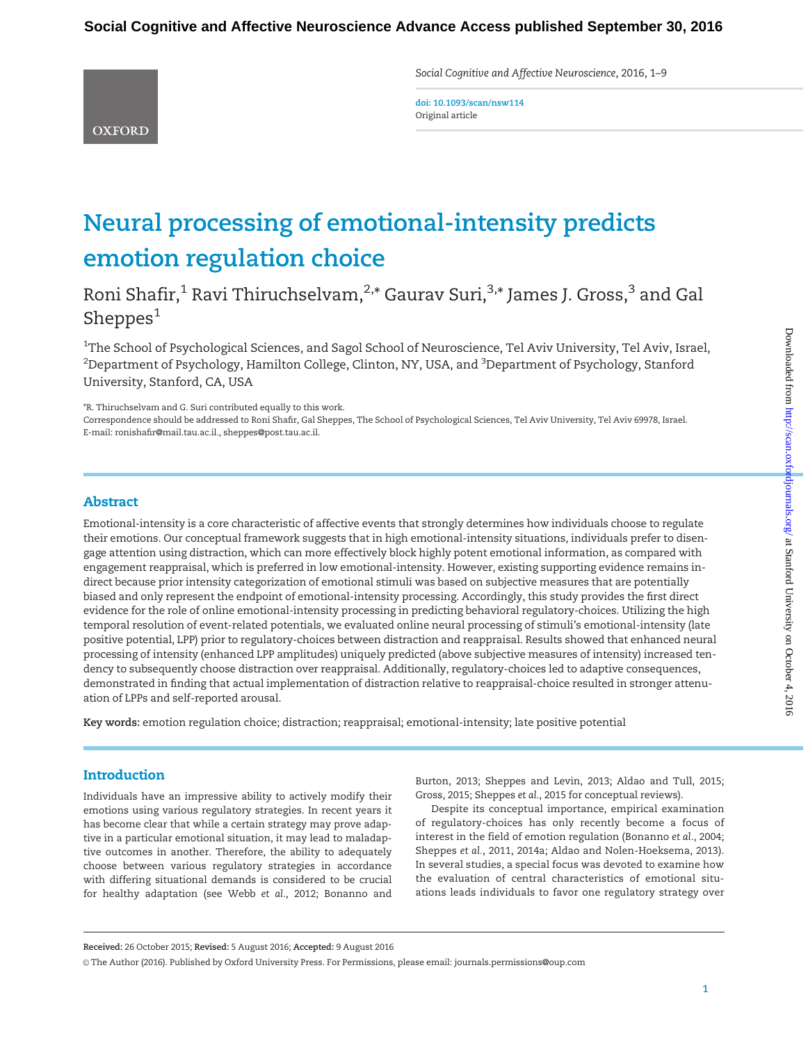Social Cognitive and Affective Neuroscience, 2016, 1–9

**OXFORD** 

doi: 10.1093/scan/nsw114 Original article

# Neural processing of emotional-intensity predicts emotion regulation choice

Roni Shafir,<sup>1</sup> Ravi Thiruchselvam,<sup>2,\*</sup> Gaurav Suri,<sup>3,\*</sup> James J. Gross,<sup>3</sup> and Gal Sheppes $<sup>1</sup>$ </sup>

 $^{\rm 1}$ The School of Psychological Sciences, and Sagol School of Neuroscience, Tel Aviv University, Tel Aviv, Israel,  $^2$ Department of Psychology, Hamilton College, Clinton, NY, USA, and  $^3$ Department of Psychology, Stanford University, Stanford, CA, USA

\*R. Thiruchselvam and G. Suri contributed equally to this work.

Correspondence should be addressed to Roni Shafir, Gal Sheppes, The School of Psychological Sciences, Tel Aviv University, Tel Aviv 69978, Israel. E-mail: ronishafir@mail.tau.ac.il., sheppes@post.tau.ac.il.

## Abstract

Emotional-intensity is a core characteristic of affective events that strongly determines how individuals choose to regulate their emotions. Our conceptual framework suggests that in high emotional-intensity situations, individuals prefer to disengage attention using distraction, which can more effectively block highly potent emotional information, as compared with engagement reappraisal, which is preferred in low emotional-intensity. However, existing supporting evidence remains indirect because prior intensity categorization of emotional stimuli was based on subjective measures that are potentially biased and only represent the endpoint of emotional-intensity processing. Accordingly, this study provides the first direct evidence for the role of online emotional-intensity processing in predicting behavioral regulatory-choices. Utilizing the high temporal resolution of event-related potentials, we evaluated online neural processing of stimuli's emotional-intensity (late positive potential, LPP) prior to regulatory-choices between distraction and reappraisal. Results showed that enhanced neural processing of intensity (enhanced LPP amplitudes) uniquely predicted (above subjective measures of intensity) increased tendency to subsequently choose distraction over reappraisal. Additionally, regulatory-choices led to adaptive consequences, demonstrated in finding that actual implementation of distraction relative to reappraisal-choice resulted in stronger attenuation of LPPs and self-reported arousal.

Key words: emotion regulation choice; distraction; reappraisal; emotional-intensity; late positive potential

# **Introduction**

Individuals have an impressive ability to actively modify their emotions using various regulatory strategies. In recent years it has become clear that while a certain strategy may prove adaptive in a particular emotional situation, it may lead to maladaptive outcomes in another. Therefore, the ability to adequately choose between various regulatory strategies in accordance with differing situational demands is considered to be crucial for healthy adaptation (see Webb et al.[, 2012;](#page-8-0) [Bonanno and](#page-6-0) [Burton, 2013](#page-6-0); [Sheppes and Levin, 2013](#page-7-0); [Aldao and Tull, 2015](#page-6-0); [Gross, 2015](#page-7-0); Sheppes et al., 2015 for conceptual reviews).

Despite its conceptual importance, empirical examination of regulatory-choices has only recently become a focus of interest in the field of emotion regulation ([Bonanno](#page-6-0) et al., 2004; [Sheppes](#page-7-0) et al., 2011, [2014a](#page-7-0); [Aldao and Nolen-Hoeksema, 2013\)](#page-6-0). In several studies, a special focus was devoted to examine how the evaluation of central characteristics of emotional situations leads individuals to favor one regulatory strategy over

Received: 26 October 2015; Revised: 5 August 2016; Accepted: 9 August 2016

V<sup>C</sup> The Author (2016). Published by Oxford University Press. For Permissions, please email: journals.permissions@oup.com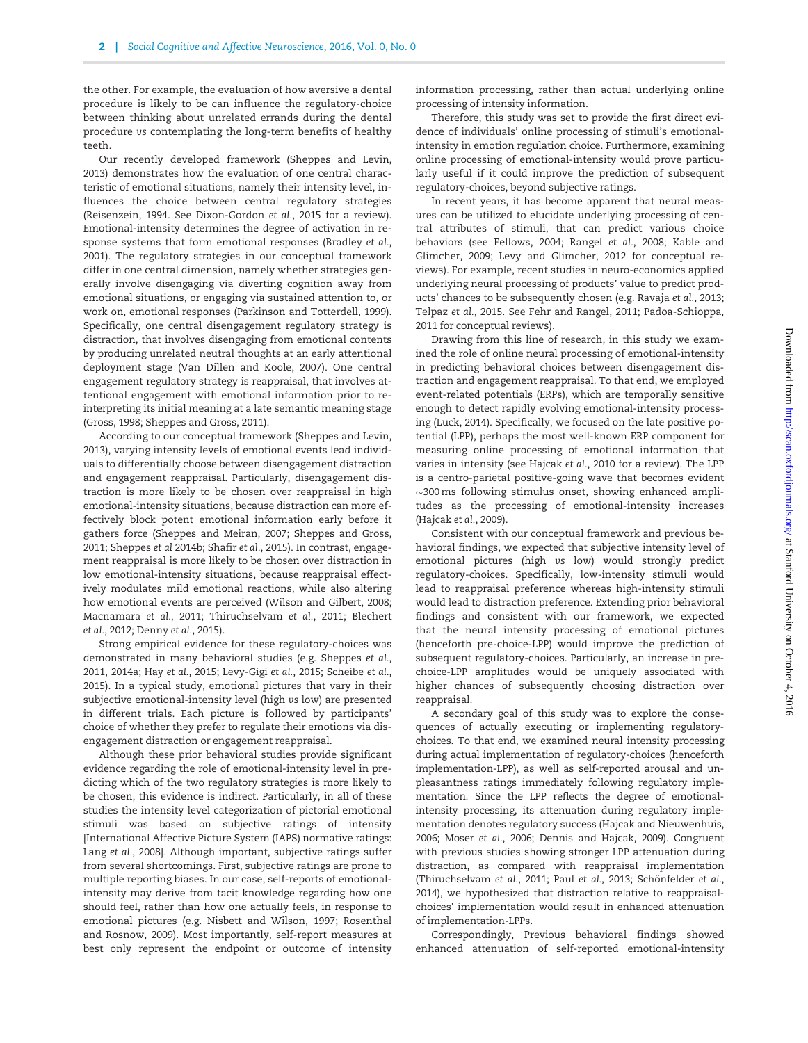the other. For example, the evaluation of how aversive a dental procedure is likely to be can influence the regulatory-choice between thinking about unrelated errands during the dental procedure vs contemplating the long-term benefits of healthy teeth.

Our recently developed framework ([Sheppes and Levin,](#page-7-0) [2013\)](#page-7-0) demonstrates how the evaluation of one central characteristic of emotional situations, namely their intensity level, influences the choice between central regulatory strategies [\(Reisenzein, 1994](#page-7-0). See [Dixon-Gordon](#page-6-0) et al., 2015 for a review). Emotional-intensity determines the degree of activation in response systems that form emotional responses [\(Bradley](#page-6-0) et al., [2001\)](#page-6-0). The regulatory strategies in our conceptual framework differ in one central dimension, namely whether strategies generally involve disengaging via diverting cognition away from emotional situations, or engaging via sustained attention to, or work on, emotional responses ([Parkinson and Totterdell, 1999\)](#page-7-0). Specifically, one central disengagement regulatory strategy is distraction, that involves disengaging from emotional contents by producing unrelated neutral thoughts at an early attentional deployment stage [\(Van Dillen and Koole, 2007\)](#page-8-0). One central engagement regulatory strategy is reappraisal, that involves attentional engagement with emotional information prior to reinterpreting its initial meaning at a late semantic meaning stage [\(Gross, 1998](#page-7-0); [Sheppes and Gross, 2011\)](#page-7-0).

According to our conceptual framework ([Sheppes and Levin,](#page-7-0) [2013\)](#page-7-0), varying intensity levels of emotional events lead individuals to differentially choose between disengagement distraction and engagement reappraisal. Particularly, disengagement distraction is more likely to be chosen over reappraisal in high emotional-intensity situations, because distraction can more effectively block potent emotional information early before it gathers force ([Sheppes and Meiran, 2007](#page-7-0); [Sheppes and Gross,](#page-7-0) [2011; Sheppes](#page-7-0) et al 2014b; [Shafir](#page-7-0) et al., 2015). In contrast, engagement reappraisal is more likely to be chosen over distraction in low emotional-intensity situations, because reappraisal effectively modulates mild emotional reactions, while also altering how emotional events are perceived ([Wilson and Gilbert, 2008](#page-8-0); [Macnamara](#page-7-0) et al., 2011; [Thiruchselvam](#page-7-0) et al., 2011; [Blechert](#page-6-0) et al.[, 2012; Denny](#page-6-0) et al., 2015).

Strong empirical evidence for these regulatory-choices was demonstrated in many behavioral studies (e.g. [Sheppes](#page-7-0) et al., [2011,](#page-7-0) 2014a; Hay et al.[, 2015](#page-7-0); [Levy-Gigi](#page-7-0) et al., 2015; [Scheibe](#page-7-0) et al., [2015\)](#page-7-0). In a typical study, emotional pictures that vary in their subjective emotional-intensity level (high vs low) are presented in different trials. Each picture is followed by participants' choice of whether they prefer to regulate their emotions via disengagement distraction or engagement reappraisal.

Although these prior behavioral studies provide significant evidence regarding the role of emotional-intensity level in predicting which of the two regulatory strategies is more likely to be chosen, this evidence is indirect. Particularly, in all of these studies the intensity level categorization of pictorial emotional stimuli was based on subjective ratings of intensity [International Affective Picture System (IAPS) normative ratings: Lang et al.[, 2008\]](#page-7-0). Although important, subjective ratings suffer from several shortcomings. First, subjective ratings are prone to multiple reporting biases. In our case, self-reports of emotionalintensity may derive from tacit knowledge regarding how one should feel, rather than how one actually feels, in response to emotional pictures (e.g. [Nisbett and Wilson, 1997](#page-7-0); [Rosenthal](#page-7-0) [and Rosnow, 2009](#page-7-0)). Most importantly, self-report measures at best only represent the endpoint or outcome of intensity

information processing, rather than actual underlying online processing of intensity information.

Therefore, this study was set to provide the first direct evidence of individuals' online processing of stimuli's emotionalintensity in emotion regulation choice. Furthermore, examining online processing of emotional-intensity would prove particularly useful if it could improve the prediction of subsequent regulatory-choices, beyond subjective ratings.

In recent years, it has become apparent that neural measures can be utilized to elucidate underlying processing of central attributes of stimuli, that can predict various choice behaviors (see [Fellows, 2004](#page-7-0); [Rangel](#page-7-0) et al., 2008; [Kable and](#page-7-0) [Glimcher, 2009; Levy and Glimcher, 2012](#page-7-0) for conceptual reviews). For example, recent studies in neuro-economics applied underlying neural processing of products' value to predict products' chances to be subsequently chosen (e.g. [Ravaja](#page-7-0) et al., 2013; [Telpaz](#page-7-0) et al., 2015. See [Fehr and Rangel, 2011](#page-7-0); Padoa-Schioppa, 2011 for conceptual reviews).

Drawing from this line of research, in this study we examined the role of online neural processing of emotional-intensity in predicting behavioral choices between disengagement distraction and engagement reappraisal. To that end, we employed event-related potentials (ERPs), which are temporally sensitive enough to detect rapidly evolving emotional-intensity processing [\(Luck, 2014\)](#page-7-0). Specifically, we focused on the late positive potential (LPP), perhaps the most well-known ERP component for measuring online processing of emotional information that varies in intensity (see [Hajcak](#page-7-0) et al., 2010 for a review). The LPP is a centro-parietal positive-going wave that becomes evident  $\sim$ 300 $\,$ ms following stimulus onset, showing enhanced amplitudes as the processing of emotional-intensity increases [\(Hajcak](#page-7-0) et al., 2009).

Consistent with our conceptual framework and previous behavioral findings, we expected that subjective intensity level of emotional pictures (high vs low) would strongly predict regulatory-choices. Specifically, low-intensity stimuli would lead to reappraisal preference whereas high-intensity stimuli would lead to distraction preference. Extending prior behavioral findings and consistent with our framework, we expected that the neural intensity processing of emotional pictures (henceforth pre-choice-LPP) would improve the prediction of subsequent regulatory-choices. Particularly, an increase in prechoice-LPP amplitudes would be uniquely associated with higher chances of subsequently choosing distraction over reappraisal.

A secondary goal of this study was to explore the consequences of actually executing or implementing regulatorychoices. To that end, we examined neural intensity processing during actual implementation of regulatory-choices (henceforth implementation-LPP), as well as self-reported arousal and unpleasantness ratings immediately following regulatory implementation. Since the LPP reflects the degree of emotionalintensity processing, its attenuation during regulatory implementation denotes regulatory success ([Hajcak and Nieuwenhuis,](#page-7-0) [2006](#page-7-0); [Moser](#page-7-0) et al., 2006; [Dennis and Hajcak, 2009\)](#page-6-0). Congruent with previous studies showing stronger LPP attenuation during distraction, as compared with reappraisal implementation [\(Thiruchselvam](#page-7-0) et al., 2011; Paul et al., 2013; Schönfelder et al., [2014](#page-7-0)), we hypothesized that distraction relative to reappraisalchoices' implementation would result in enhanced attenuation of implementation-LPPs.

Correspondingly, Previous behavioral findings showed enhanced attenuation of self-reported emotional-intensity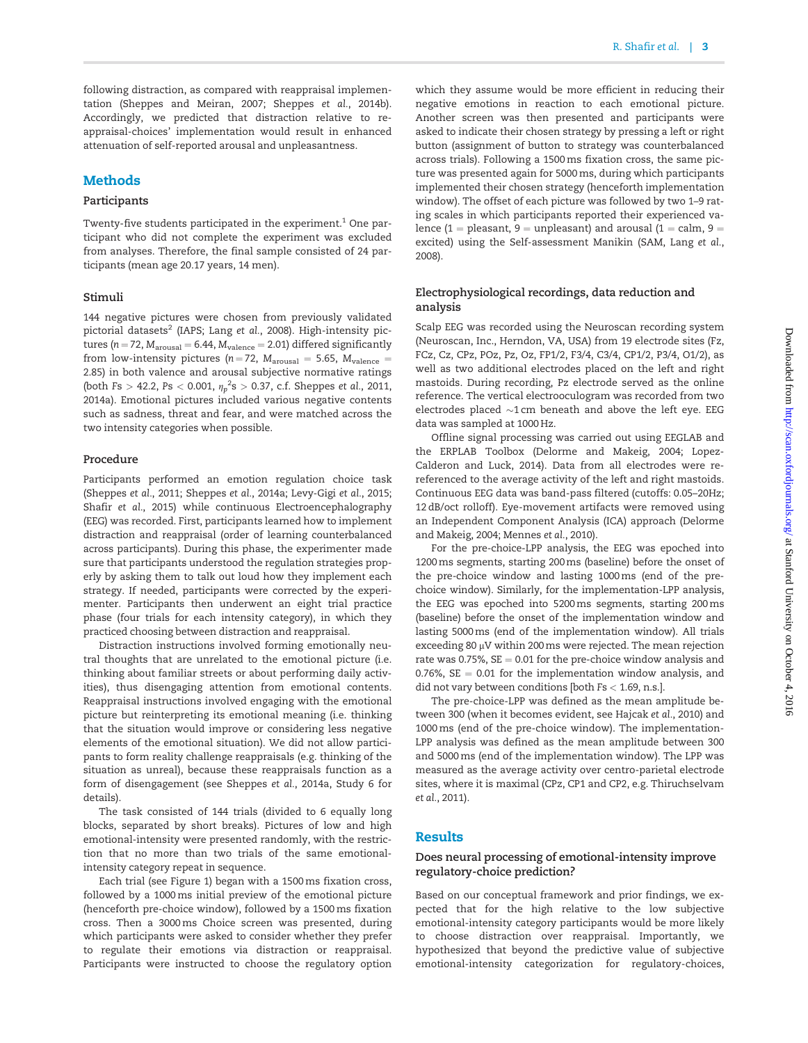following distraction, as compared with reappraisal implementation [\(Sheppes and Meiran, 2007; Sheppes](#page-7-0) et al., 2014b). Accordingly, we predicted that distraction relative to reappraisal-choices' implementation would result in enhanced attenuation of self-reported arousal and unpleasantness.

## **Methods**

#### Participants

Twenty-five students participated in the experiment.<sup>1</sup> One participant who did not complete the experiment was excluded from analyses. Therefore, the final sample consisted of 24 participants (mean age 20.17 years, 14 men).

#### Stimuli

144 negative pictures were chosen from previously validated pictorial datasets<sup>2</sup> (IAPS; Lang et al.[, 2008](#page-7-0)). High-intensity pictures ( $n = 72$ ,  $M_{\text{arousal}} = 6.44$ ,  $M_{\text{valence}} = 2.01$ ) differed significantly from low-intensity pictures ( $n = 72$ ,  $M_{\text{arousal}} = 5.65$ ,  $M_{\text{valence}} =$ 2.85) in both valence and arousal subjective normative ratings (both Fs  $> 42.2$ , Ps  $< 0.001$ ,  ${\eta_p}^2$ s  $> 0.37$ , c.f. [Sheppes](#page-7-0) et al., 2011, [2014a](#page-7-0)). Emotional pictures included various negative contents such as sadness, threat and fear, and were matched across the two intensity categories when possible.

#### Procedure

Participants performed an emotion regulation choice task [\(Sheppes](#page-7-0) et al., 2011; [Sheppes](#page-7-0) et al., 2014a; [Levy-Gigi](#page-7-0) et al., 2015; Shafir et al.[, 2015\)](#page-7-0) while continuous Electroencephalography (EEG) was recorded. First, participants learned how to implement distraction and reappraisal (order of learning counterbalanced across participants). During this phase, the experimenter made sure that participants understood the regulation strategies properly by asking them to talk out loud how they implement each strategy. If needed, participants were corrected by the experimenter. Participants then underwent an eight trial practice phase (four trials for each intensity category), in which they practiced choosing between distraction and reappraisal.

Distraction instructions involved forming emotionally neutral thoughts that are unrelated to the emotional picture (i.e. thinking about familiar streets or about performing daily activities), thus disengaging attention from emotional contents. Reappraisal instructions involved engaging with the emotional picture but reinterpreting its emotional meaning (i.e. thinking that the situation would improve or considering less negative elements of the emotional situation). We did not allow participants to form reality challenge reappraisals (e.g. thinking of the situation as unreal), because these reappraisals function as a form of disengagement (see [Sheppes](#page-7-0) et al., 2014a, Study 6 for details).

The task consisted of 144 trials (divided to 6 equally long blocks, separated by short breaks). Pictures of low and high emotional-intensity were presented randomly, with the restriction that no more than two trials of the same emotionalintensity category repeat in sequence.

Each trial (see [Figure 1\)](#page-3-0) began with a 1500 ms fixation cross, followed by a 1000 ms initial preview of the emotional picture (henceforth pre-choice window), followed by a 1500 ms fixation cross. Then a 3000ms Choice screen was presented, during which participants were asked to consider whether they prefer to regulate their emotions via distraction or reappraisal. Participants were instructed to choose the regulatory option

which they assume would be more efficient in reducing their negative emotions in reaction to each emotional picture. Another screen was then presented and participants were asked to indicate their chosen strategy by pressing a left or right button (assignment of button to strategy was counterbalanced across trials). Following a 1500 ms fixation cross, the same picture was presented again for 5000ms, during which participants implemented their chosen strategy (henceforth implementation window). The offset of each picture was followed by two 1–9 rating scales in which participants reported their experienced valence (1 = pleasant, 9 = unpleasant) and arousal (1 = calm, 9 = excited) using the Self-assessment Manikin (SAM, [Lang](#page-7-0) et al., [2008\)](#page-7-0).

#### Electrophysiological recordings, data reduction and analysis

Scalp EEG was recorded using the Neuroscan recording system (Neuroscan, Inc., Herndon, VA, USA) from 19 electrode sites (Fz, FCz, Cz, CPz, POz, Pz, Oz, FP1/2, F3/4, C3/4, CP1/2, P3/4, O1/2), as well as two additional electrodes placed on the left and right mastoids. During recording, Pz electrode served as the online reference. The vertical electrooculogram was recorded from two electrodes placed  ${\sim}1\,\mathrm{cm}$  beneath and above the left eye. EEG data was sampled at 1000 Hz.

Offline signal processing was carried out using EEGLAB and the ERPLAB Toolbox [\(Delorme and Makeig, 2004](#page-6-0); [Lopez-](#page-7-0)[Calderon and Luck, 2014](#page-7-0)). Data from all electrodes were rereferenced to the average activity of the left and right mastoids. Continuous EEG data was band-pass filtered (cutoffs: 0.05–20Hz; 12 dB/oct rolloff). Eye-movement artifacts were removed using an Independent Component Analysis (ICA) approach ([Delorme](#page-6-0) [and Makeig, 2004;](#page-6-0) [Mennes](#page-7-0) et al., 2010).

For the pre-choice-LPP analysis, the EEG was epoched into 1200ms segments, starting 200ms (baseline) before the onset of the pre-choice window and lasting 1000ms (end of the prechoice window). Similarly, for the implementation-LPP analysis, the EEG was epoched into 5200ms segments, starting 200ms (baseline) before the onset of the implementation window and lasting 5000ms (end of the implementation window). All trials exceeding 80  $\mu$ V within 200 ms were rejected. The mean rejection rate was 0.75%,  $SE = 0.01$  for the pre-choice window analysis and 0.76%,  $SE = 0.01$  for the implementation window analysis, and did not vary between conditions [both  $Fs < 1.69$ , n.s.].

The pre-choice-LPP was defined as the mean amplitude between 300 (when it becomes evident, see [Hajcak](#page-7-0) et al., 2010) and 1000ms (end of the pre-choice window). The implementation-LPP analysis was defined as the mean amplitude between 300 and 5000ms (end of the implementation window). The LPP was measured as the average activity over centro-parietal electrode sites, where it is maximal (CPz, CP1 and CP2, e.g. [Thiruchselvam](#page-7-0) et al.[, 2011\)](#page-7-0).

#### Results

## Does neural processing of emotional-intensity improve regulatory-choice prediction?

Based on our conceptual framework and prior findings, we expected that for the high relative to the low subjective emotional-intensity category participants would be more likely to choose distraction over reappraisal. Importantly, we hypothesized that beyond the predictive value of subjective emotional-intensity categorization for regulatory-choices,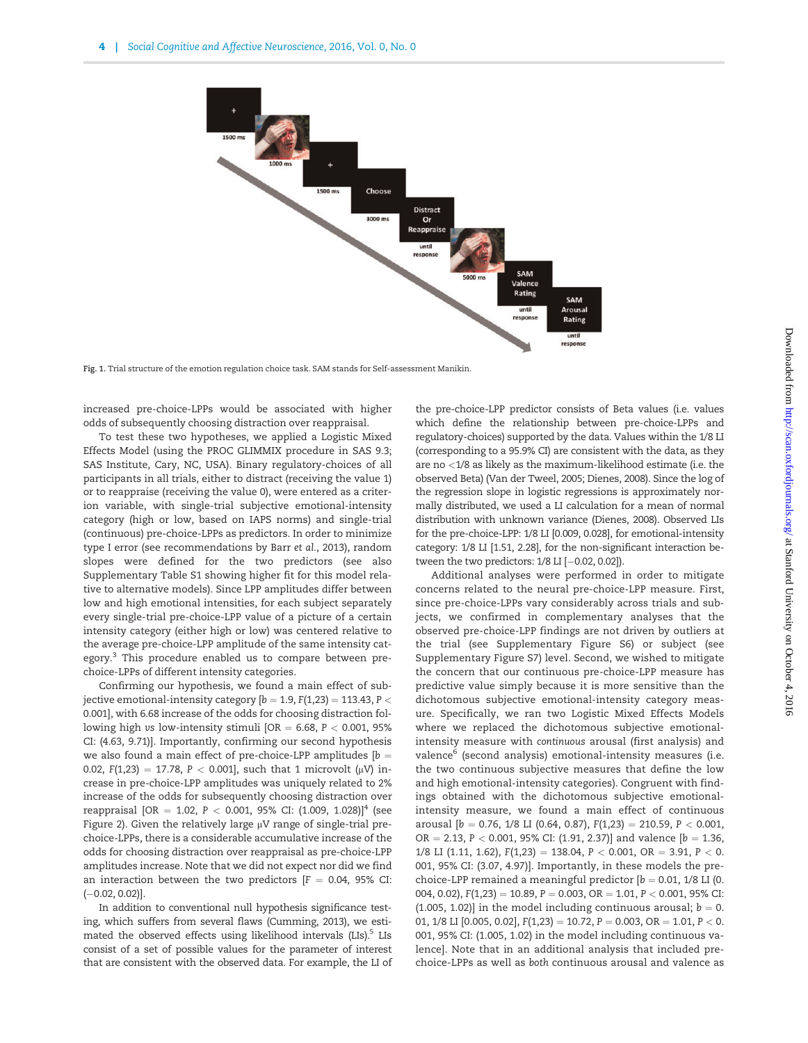<span id="page-3-0"></span>

Fig. 1. Trial structure of the emotion regulation choice task. SAM stands for Self-assessment Manikin.

increased pre-choice-LPPs would be associated with higher odds of subsequently choosing distraction over reappraisal.

To test these two hypotheses, we applied a Logistic Mixed Effects Model (using the PROC GLIMMIX procedure in SAS 9.3; SAS Institute, Cary, NC, USA). Binary regulatory-choices of all participants in all trials, either to distract (receiving the value 1) or to reappraise (receiving the value 0), were entered as a criterion variable, with single-trial subjective emotional-intensity category (high or low, based on IAPS norms) and single-trial (continuous) pre-choice-LPPs as predictors. In order to minimize type I error (see recommendations by Barr et al.[, 2013](#page-6-0)), random slopes were defined for the two predictors (see also [Supplementary Table S1](http://scan.oxfordjournals.org/lookup/suppl/doi:10.1093/scan/nsw114/-/DC1) showing higher fit for this model relative to alternative models). Since LPP amplitudes differ between low and high emotional intensities, for each subject separately every single-trial pre-choice-LPP value of a picture of a certain intensity category (either high or low) was centered relative to the average pre-choice-LPP amplitude of the same intensity category.<sup>3</sup> This procedure enabled us to compare between prechoice-LPPs of different intensity categories.

Confirming our hypothesis, we found a main effect of subjective emotional-intensity category [ $b = 1.9$ ,  $F(1,23) = 113.43$ ,  $P <$ 0.001], with 6.68 increase of the odds for choosing distraction following high vs low-intensity stimuli [OR = 6.68,  $P < 0.001$ , 95% CI: (4.63, 9.71)]. Importantly, confirming our second hypothesis we also found a main effect of pre-choice-LPP amplitudes [ $b =$ 0.02, F(1,23) = 17.78, P < 0.001], such that 1 microvolt ( $\mu$ V) increase in pre-choice-LPP amplitudes was uniquely related to 2% increase of the odds for subsequently choosing distraction over reappraisal [OR = 1.02, P < 0.001, 95% CI:  $(1.009, 1.028)$ ]<sup>4</sup> (see [Figure 2](#page-4-0)). Given the relatively large  $\mu$ V range of single-trial prechoice-LPPs, there is a considerable accumulative increase of the odds for choosing distraction over reappraisal as pre-choice-LPP amplitudes increase. Note that we did not expect nor did we find an interaction between the two predictors  $[F = 0.04, 95\%$  CI:  $(-0.02, 0.02)$ ].

In addition to conventional null hypothesis significance testing, which suffers from several flaws [\(Cumming, 2013\)](#page-6-0), we estimated the observed effects using likelihood intervals (LIs).<sup>5</sup> LIs consist of a set of possible values for the parameter of interest that are consistent with the observed data. For example, the LI of

the pre-choice-LPP predictor consists of Beta values (i.e. values which define the relationship between pre-choice-LPPs and regulatory-choices) supported by the data. Values within the 1/8 LI (corresponding to a 95.9% CI) are consistent with the data, as they are no <1/8 as likely as the maximum-likelihood estimate (i.e. the observed Beta) ([Van der Tweel, 2005](#page-8-0); [Dienes, 2008](#page-6-0)). Since the log of the regression slope in logistic regressions is approximately normally distributed, we used a LI calculation for a mean of normal distribution with unknown variance [\(Dienes, 2008\)](#page-6-0). Observed LIs for the pre-choice-LPP: 1/8 LI [0.009, 0.028], for emotional-intensity category: 1/8 LI [1.51, 2.28], for the non-significant interaction between the two predictors:  $1/8$  LI  $[-0.02, 0.02]$ ).

Additional analyses were performed in order to mitigate concerns related to the neural pre-choice-LPP measure. First, since pre-choice-LPPs vary considerably across trials and subjects, we confirmed in complementary analyses that the observed pre-choice-LPP findings are not driven by outliers at the trial (see [Supplementary Figure S6](http://scan.oxfordjournals.org/lookup/suppl/doi:10.1093/scan/nsw114/-/DC1)) or subject (see [Supplementary Figure S7\)](http://scan.oxfordjournals.org/lookup/suppl/doi:10.1093/scan/nsw114/-/DC1) level. Second, we wished to mitigate the concern that our continuous pre-choice-LPP measure has predictive value simply because it is more sensitive than the dichotomous subjective emotional-intensity category measure. Specifically, we ran two Logistic Mixed Effects Models where we replaced the dichotomous subjective emotionalintensity measure with continuous arousal (first analysis) and valence<sup>6</sup> (second analysis) emotional-intensity measures (i.e. the two continuous subjective measures that define the low and high emotional-intensity categories). Congruent with findings obtained with the dichotomous subjective emotionalintensity measure, we found a main effect of continuous arousal [ $b = 0.76$ , 1/8 LI (0.64, 0.87),  $F(1,23) = 210.59$ ,  $P < 0.001$ , OR = 2.13, P < 0.001, 95% CI: (1.91, 2.37)] and valence  $[b = 1.36,$ 1/8 LI (1.11, 1.62),  $F(1,23) = 138.04$ ,  $P < 0.001$ ,  $OR = 3.91$ ,  $P < 0$ . 001, 95% CI: (3.07, 4.97)]. Importantly, in these models the prechoice-LPP remained a meaningful predictor  $[b = 0.01, 1/8$  LI (0. 004, 0.02),  $F(1,23) = 10.89$ ,  $P = 0.003$ ,  $OR = 1.01$ ,  $P < 0.001$ , 95% CI: (1.005, 1.02)] in the model including continuous arousal;  $b = 0$ . 01,  $1/8$  LI [0.005, 0.02],  $F(1,23) = 10.72$ ,  $P = 0.003$ ,  $OR = 1.01$ ,  $P < 0$ . 001, 95% CI: (1.005, 1.02) in the model including continuous valence]. Note that in an additional analysis that included prechoice-LPPs as well as both continuous arousal and valence as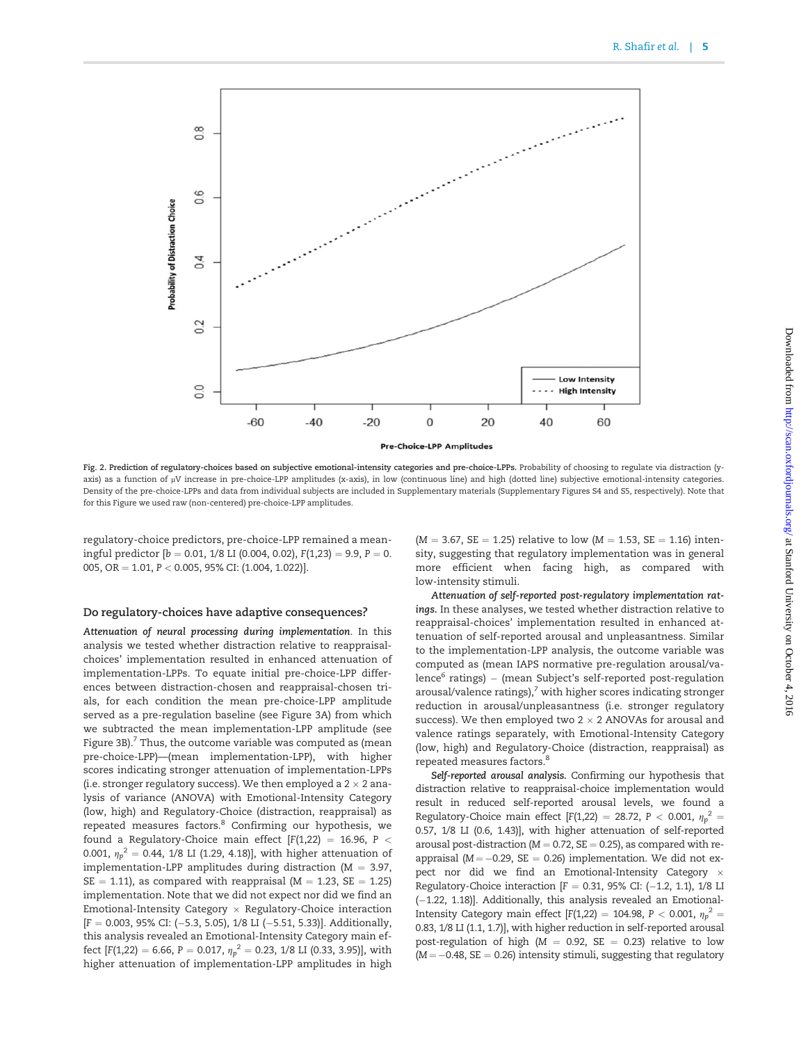<span id="page-4-0"></span>

Fig. 2. Prediction of regulatory-choices based on subjective emotional-intensity categories and pre-choice-LPPs. Probability of choosing to regulate via distraction (yaxis) as a function of µV increase in pre-choice-LPP amplitudes (x-axis), in low (continuous line) and high (dotted line) subjective emotional-intensity categories. Density of the pre-choice-LPPs and data from individual subjects are included in [Supplementary materials](http://scan.oxfordjournals.org/lookup/suppl/doi:10.1093/scan/nsw114/-/DC1) [\(Supplementary Figures S4 and S5,](http://scan.oxfordjournals.org/lookup/suppl/doi:10.1093/scan/nsw114/-/DC1) respectively). Note that for this Figure we used raw (non-centered) pre-choice-LPP amplitudes.

regulatory-choice predictors, pre-choice-LPP remained a meaningful predictor  $[b = 0.01, 1/8$  LI (0.004, 0.02),  $F(1,23) = 9.9, P = 0$ . 005, OR = 1.01,  $P < 0.005$ , 95% CI: (1.004, 1.022)].

#### Do regulatory-choices have adaptive consequences?

Attenuation of neural processing during implementation. In this analysis we tested whether distraction relative to reappraisalchoices' implementation resulted in enhanced attenuation of implementation-LPPs. To equate initial pre-choice-LPP differences between distraction-chosen and reappraisal-chosen trials, for each condition the mean pre-choice-LPP amplitude served as a pre-regulation baseline (see [Figure 3A\)](#page-5-0) from which we subtracted the mean implementation-LPP amplitude (see Figure 3B $^7$ . Thus, the outcome variable was computed as (mean pre-choice-LPP)—(mean implementation-LPP), with higher scores indicating stronger attenuation of implementation-LPPs (i.e. stronger regulatory success). We then employed a  $2 \times 2$  analysis of variance (ANOVA) with Emotional-Intensity Category (low, high) and Regulatory-Choice (distraction, reappraisal) as repeated measures factors.<sup>8</sup> Confirming our hypothesis, we found a Regulatory-Choice main effect  $[F(1,22) = 16.96, P <$ 0.001,  ${\eta_p}^2 =$  0.44, 1/8 LI (1.29, 4.18)], with higher attenuation of implementation-LPP amplitudes during distraction ( $M = 3.97$ ,  $SE = 1.11$ ), as compared with reappraisal (M = 1.23, SE = 1.25) implementation. Note that we did not expect nor did we find an Emotional-Intensity Category  $\times$  Regulatory-Choice interaction  $[F = 0.003, 95\% \text{ CI: } (-5.3, 5.05), 1/8 \text{ LI } (-5.51, 5.33)].$  Additionally, this analysis revealed an Emotional-Intensity Category main effect [F(1,22) = 6.66, P = 0.017,  ${\eta_p}^2 =$  0.23, 1/8 LI (0.33, 3.95)], with higher attenuation of implementation-LPP amplitudes in high

 $(M = 3.67, SE = 1.25)$  relative to low  $(M = 1.53, SE = 1.16)$  intensity, suggesting that regulatory implementation was in general more efficient when facing high, as compared with low-intensity stimuli.

Attenuation of self-reported post-regulatory implementation ratings. In these analyses, we tested whether distraction relative to reappraisal-choices' implementation resulted in enhanced attenuation of self-reported arousal and unpleasantness. Similar to the implementation-LPP analysis, the outcome variable was computed as (mean IAPS normative pre-regulation arousal/valence $6$  ratings) – (mean Subject's self-reported post-regulation arousal/valence ratings), $7$  with higher scores indicating stronger reduction in arousal/unpleasantness (i.e. stronger regulatory success). We then employed two 2  $\times$  2 ANOVAs for arousal and valence ratings separately, with Emotional-Intensity Category (low, high) and Regulatory-Choice (distraction, reappraisal) as repeated measures factors.<sup>8</sup>

Self-reported arousal analysis. Confirming our hypothesis that distraction relative to reappraisal-choice implementation would result in reduced self-reported arousal levels, we found a Regulatory-Choice main effect [F(1,22) = 28.72, P < 0.001,  $\eta_p^2$  = 0.57, 1/8 LI (0.6, 1.43)], with higher attenuation of self-reported arousal post-distraction ( $M = 0.72$ ,  $SE = 0.25$ ), as compared with reappraisal ( $M = -0.29$ , SE = 0.26) implementation. We did not expect nor did we find an Emotional-Intensity Category Regulatory-Choice interaction  $[F = 0.31, 95\%$  CI:  $(-1.2, 1.1), 1/8$  LI (-1.22, 1.18)]. Additionally, this analysis revealed an Emotional-Intensity Category main effect [F(1,22) = 104.98, P < 0.001,  $\eta_p^2$  = 0.83, 1/8 LI (1.1, 1.7)], with higher reduction in self-reported arousal post-regulation of high ( $M = 0.92$ , SE = 0.23) relative to low  $(M = -0.48, SE = 0.26)$  intensity stimuli, suggesting that regulatory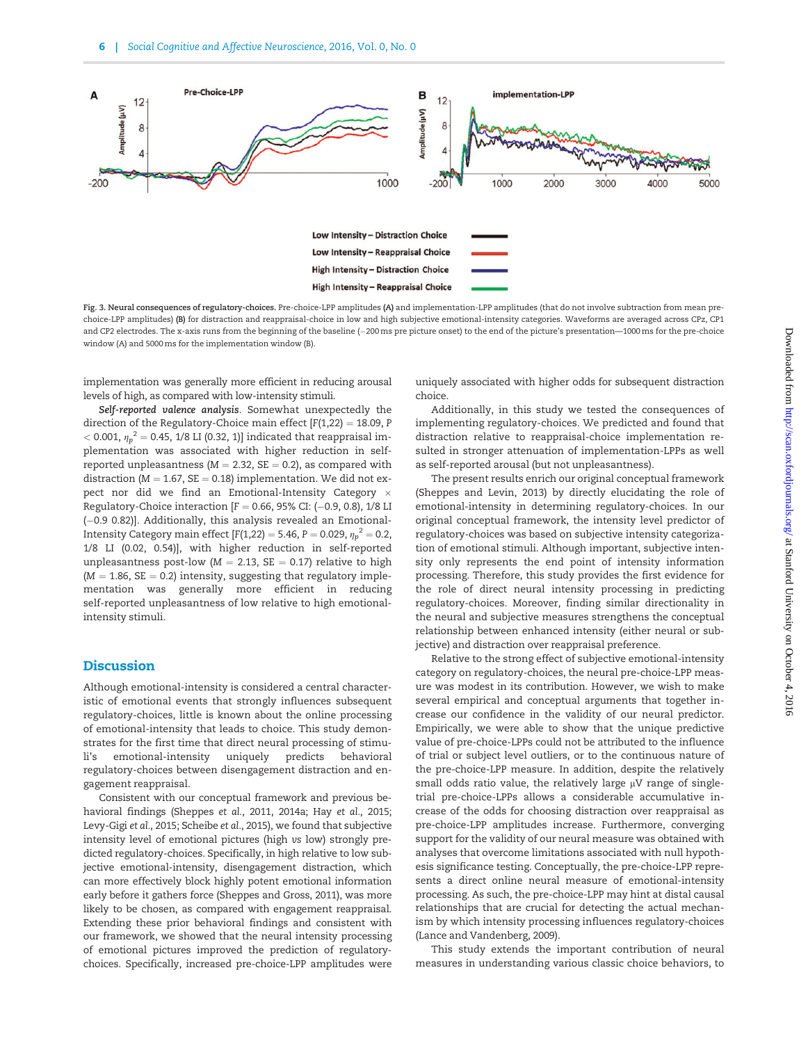<span id="page-5-0"></span>

Fig. 3. Neural consequences of regulatory-choices. Pre-choice-LPP amplitudes (A) and implementation-LPP amplitudes (that do not involve subtraction from mean prechoice-LPP amplitudes) (B) for distraction and reappraisal-choice in low and high subjective emotional-intensity categories. Waveforms are averaged across CPz, CP1 and CP2 electrodes. The x-axis runs from the beginning of the baseline (-200 ms pre picture onset) to the end of the picture's presentation—1000 ms for the pre-choice window (A) and 5000ms for the implementation window (B).

implementation was generally more efficient in reducing arousal levels of high, as compared with low-intensity stimuli.

Self-reported valence analysis. Somewhat unexpectedly the direction of the Regulatory-Choice main effect  $[F(1,22) = 18.09, P$  $<$  0.001,  ${\eta_p}^2$  = 0.45, 1/8 LI (0.32, 1)] indicated that reappraisal implementation was associated with higher reduction in selfreported unpleasantness ( $M = 2.32$ , SE = 0.2), as compared with distraction ( $M = 1.67$ ,  $SE = 0.18$ ) implementation. We did not expect nor did we find an Emotional-Intensity Category  $\times$ Regulatory-Choice interaction  $[F = 0.66, 95\%$  CI: (-0.9, 0.8), 1/8 LI  $(-0.9 0.82)$ ]. Additionally, this analysis revealed an Emotional-Intensity Category main effect [F(1,22) = 5.46, P = 0.029,  ${\eta_p}^2$  = 0.2, 1/8 LI (0.02, 0.54)], with higher reduction in self-reported unpleasantness post-low ( $M = 2.13$ , SE = 0.17) relative to high  $(M = 1.86, SE = 0.2)$  intensity, suggesting that regulatory implementation was generally more efficient in reducing self-reported unpleasantness of low relative to high emotionalintensity stimuli.

## **Discussion**

Although emotional-intensity is considered a central characteristic of emotional events that strongly influences subsequent regulatory-choices, little is known about the online processing of emotional-intensity that leads to choice. This study demonstrates for the first time that direct neural processing of stimuli's emotional-intensity uniquely predicts behavioral regulatory-choices between disengagement distraction and engagement reappraisal.

Consistent with our conceptual framework and previous behavioral findings ([Sheppes](#page-7-0) et al., 2011, [2014a;](#page-7-0) Hay et al.[, 2015](#page-7-0); [Levy-Gigi](#page-7-0) et al., 2015; [Scheibe](#page-7-0) et al., 2015), we found that subjective intensity level of emotional pictures (high vs low) strongly predicted regulatory-choices. Specifically, in high relative to low subjective emotional-intensity, disengagement distraction, which can more effectively block highly potent emotional information early before it gathers force [\(Sheppes and Gross, 2011](#page-7-0)), was more likely to be chosen, as compared with engagement reappraisal. Extending these prior behavioral findings and consistent with our framework, we showed that the neural intensity processing of emotional pictures improved the prediction of regulatorychoices. Specifically, increased pre-choice-LPP amplitudes were

uniquely associated with higher odds for subsequent distraction choice.

Additionally, in this study we tested the consequences of implementing regulatory-choices. We predicted and found that distraction relative to reappraisal-choice implementation resulted in stronger attenuation of implementation-LPPs as well as self-reported arousal (but not unpleasantness).

The present results enrich our original conceptual framework [\(Sheppes and Levin, 2013](#page-7-0)) by directly elucidating the role of emotional-intensity in determining regulatory-choices. In our original conceptual framework, the intensity level predictor of regulatory-choices was based on subjective intensity categorization of emotional stimuli. Although important, subjective intensity only represents the end point of intensity information processing. Therefore, this study provides the first evidence for the role of direct neural intensity processing in predicting regulatory-choices. Moreover, finding similar directionality in the neural and subjective measures strengthens the conceptual relationship between enhanced intensity (either neural or subjective) and distraction over reappraisal preference.

Relative to the strong effect of subjective emotional-intensity category on regulatory-choices, the neural pre-choice-LPP measure was modest in its contribution. However, we wish to make several empirical and conceptual arguments that together increase our confidence in the validity of our neural predictor. Empirically, we were able to show that the unique predictive value of pre-choice-LPPs could not be attributed to the influence of trial or subject level outliers, or to the continuous nature of the pre-choice-LPP measure. In addition, despite the relatively small odds ratio value, the relatively large  $\mu$ V range of singletrial pre-choice-LPPs allows a considerable accumulative increase of the odds for choosing distraction over reappraisal as pre-choice-LPP amplitudes increase. Furthermore, converging support for the validity of our neural measure was obtained with analyses that overcome limitations associated with null hypothesis significance testing. Conceptually, the pre-choice-LPP represents a direct online neural measure of emotional-intensity processing. As such, the pre-choice-LPP may hint at distal causal relationships that are crucial for detecting the actual mechanism by which intensity processing influences regulatory-choices [\(Lance and Vandenberg, 2009\)](#page-7-0).

This study extends the important contribution of neural measures in understanding various classic choice behaviors, to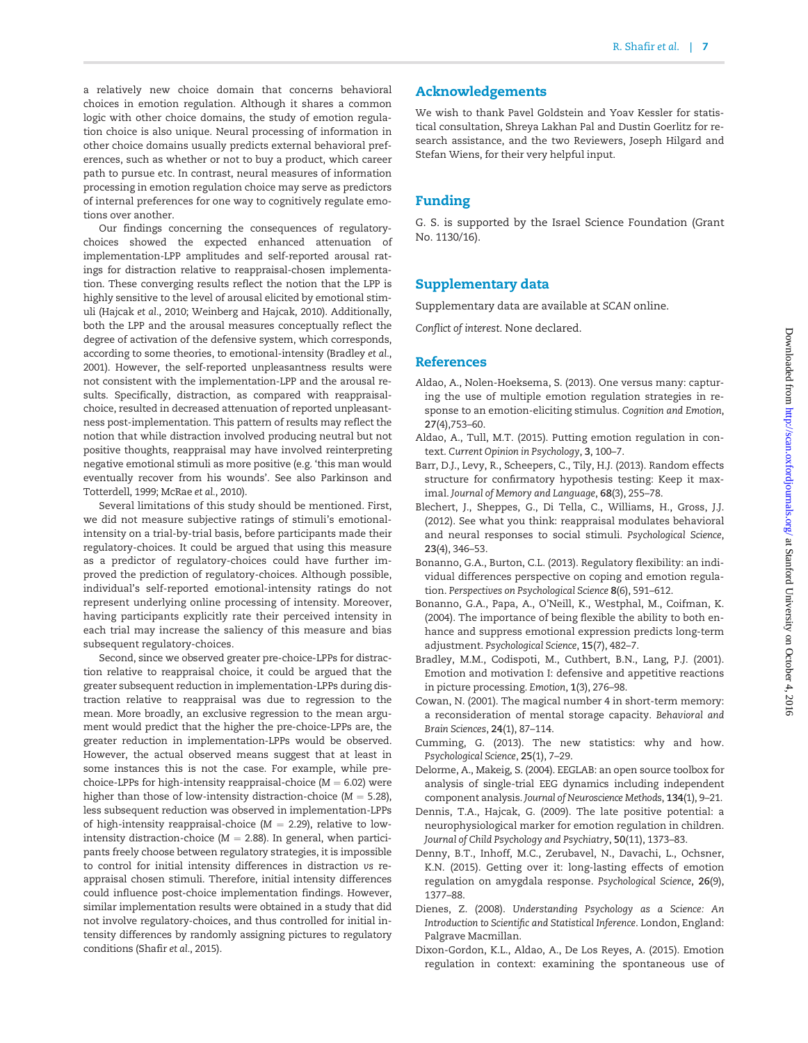<span id="page-6-0"></span>a relatively new choice domain that concerns behavioral choices in emotion regulation. Although it shares a common logic with other choice domains, the study of emotion regulation choice is also unique. Neural processing of information in other choice domains usually predicts external behavioral preferences, such as whether or not to buy a product, which career path to pursue etc. In contrast, neural measures of information processing in emotion regulation choice may serve as predictors of internal preferences for one way to cognitively regulate emotions over another.

Our findings concerning the consequences of regulatorychoices showed the expected enhanced attenuation of implementation-LPP amplitudes and self-reported arousal ratings for distraction relative to reappraisal-chosen implementation. These converging results reflect the notion that the LPP is highly sensitive to the level of arousal elicited by emotional stimuli [\(Hajcak](#page-7-0) et al., 2010; [Weinberg and Hajcak, 2010](#page-8-0)). Additionally, both the LPP and the arousal measures conceptually reflect the degree of activation of the defensive system, which corresponds, according to some theories, to emotional-intensity (Bradley et al., 2001). However, the self-reported unpleasantness results were not consistent with the implementation-LPP and the arousal results. Specifically, distraction, as compared with reappraisalchoice, resulted in decreased attenuation of reported unpleasantness post-implementation. This pattern of results may reflect the notion that while distraction involved producing neutral but not positive thoughts, reappraisal may have involved reinterpreting negative emotional stimuli as more positive (e.g. 'this man would eventually recover from his wounds'. See also [Parkinson and](#page-7-0) [Totterdell, 1999](#page-7-0); [McRae](#page-7-0) et al., 2010).

Several limitations of this study should be mentioned. First, we did not measure subjective ratings of stimuli's emotionalintensity on a trial-by-trial basis, before participants made their regulatory-choices. It could be argued that using this measure as a predictor of regulatory-choices could have further improved the prediction of regulatory-choices. Although possible, individual's self-reported emotional-intensity ratings do not represent underlying online processing of intensity. Moreover, having participants explicitly rate their perceived intensity in each trial may increase the saliency of this measure and bias subsequent regulatory-choices.

Second, since we observed greater pre-choice-LPPs for distraction relative to reappraisal choice, it could be argued that the greater subsequent reduction in implementation-LPPs during distraction relative to reappraisal was due to regression to the mean. More broadly, an exclusive regression to the mean argument would predict that the higher the pre-choice-LPPs are, the greater reduction in implementation-LPPs would be observed. However, the actual observed means suggest that at least in some instances this is not the case. For example, while prechoice-LPPs for high-intensity reappraisal-choice  $(M = 6.02)$  were higher than those of low-intensity distraction-choice ( $M = 5.28$ ), less subsequent reduction was observed in implementation-LPPs of high-intensity reappraisal-choice  $(M = 2.29)$ , relative to lowintensity distraction-choice ( $M = 2.88$ ). In general, when participants freely choose between regulatory strategies, it is impossible to control for initial intensity differences in distraction vs reappraisal chosen stimuli. Therefore, initial intensity differences could influence post-choice implementation findings. However, similar implementation results were obtained in a study that did not involve regulatory-choices, and thus controlled for initial intensity differences by randomly assigning pictures to regulatory conditions [\(Shafir](#page-7-0) et al., 2015).

## Acknowledgements

We wish to thank Pavel Goldstein and Yoav Kessler for statistical consultation, Shreya Lakhan Pal and Dustin Goerlitz for research assistance, and the two Reviewers, Joseph Hilgard and Stefan Wiens, for their very helpful input.

## Funding

G. S. is supported by the Israel Science Foundation (Grant No. 1130/16).

## Supplementary data

[Supplementary data](http://scan.oxfordjournals.org/lookup/suppl/doi:10.1093/scan/nsw114/-/DC1) are available at SCAN online.

Conflict of interest. None declared.

## References

- Aldao, A., Nolen-Hoeksema, S. (2013). One versus many: capturing the use of multiple emotion regulation strategies in response to an emotion-eliciting stimulus. Cognition and Emotion, 27(4),753–60.
- Aldao, A., Tull, M.T. (2015). Putting emotion regulation in context. Current Opinion in Psychology, 3, 100–7.
- Barr, D.J., Levy, R., Scheepers, C., Tily, H.J. (2013). Random effects structure for confirmatory hypothesis testing: Keep it maximal. Journal of Memory and Language, 68(3), 255–78.
- Blechert, J., Sheppes, G., Di Tella, C., Williams, H., Gross, J.J. (2012). See what you think: reappraisal modulates behavioral and neural responses to social stimuli. Psychological Science, 23(4), 346–53.
- Bonanno, G.A., Burton, C.L. (2013). Regulatory flexibility: an individual differences perspective on coping and emotion regulation. Perspectives on Psychological Science 8(6), 591–612.
- Bonanno, G.A., Papa, A., O'Neill, K., Westphal, M., Coifman, K. (2004). The importance of being flexible the ability to both enhance and suppress emotional expression predicts long-term adjustment. Psychological Science, 15(7), 482–7.
- Bradley, M.M., Codispoti, M., Cuthbert, B.N., Lang, P.J. (2001). Emotion and motivation I: defensive and appetitive reactions in picture processing. Emotion, 1(3), 276–98.
- Cowan, N. (2001). The magical number 4 in short-term memory: a reconsideration of mental storage capacity. Behavioral and Brain Sciences, 24(1), 87–114.
- Cumming, G. (2013). The new statistics: why and how. Psychological Science, 25(1), 7–29.
- Delorme, A., Makeig, S. (2004). EEGLAB: an open source toolbox for analysis of single-trial EEG dynamics including independent component analysis. Journal of Neuroscience Methods, 134(1), 9–21.
- Dennis, T.A., Hajcak, G. (2009). The late positive potential: a neurophysiological marker for emotion regulation in children. Journal of Child Psychology and Psychiatry, 50(11), 1373–83.
- Denny, B.T., Inhoff, M.C., Zerubavel, N., Davachi, L., Ochsner, K.N. (2015). Getting over it: long-lasting effects of emotion regulation on amygdala response. Psychological Science, 26(9), 1377–88.
- Dienes, Z. (2008). Understanding Psychology as a Science: An Introduction to Scientific and Statistical Inference. London, England: Palgrave Macmillan.
- Dixon-Gordon, K.L., Aldao, A., De Los Reyes, A. (2015). Emotion regulation in context: examining the spontaneous use of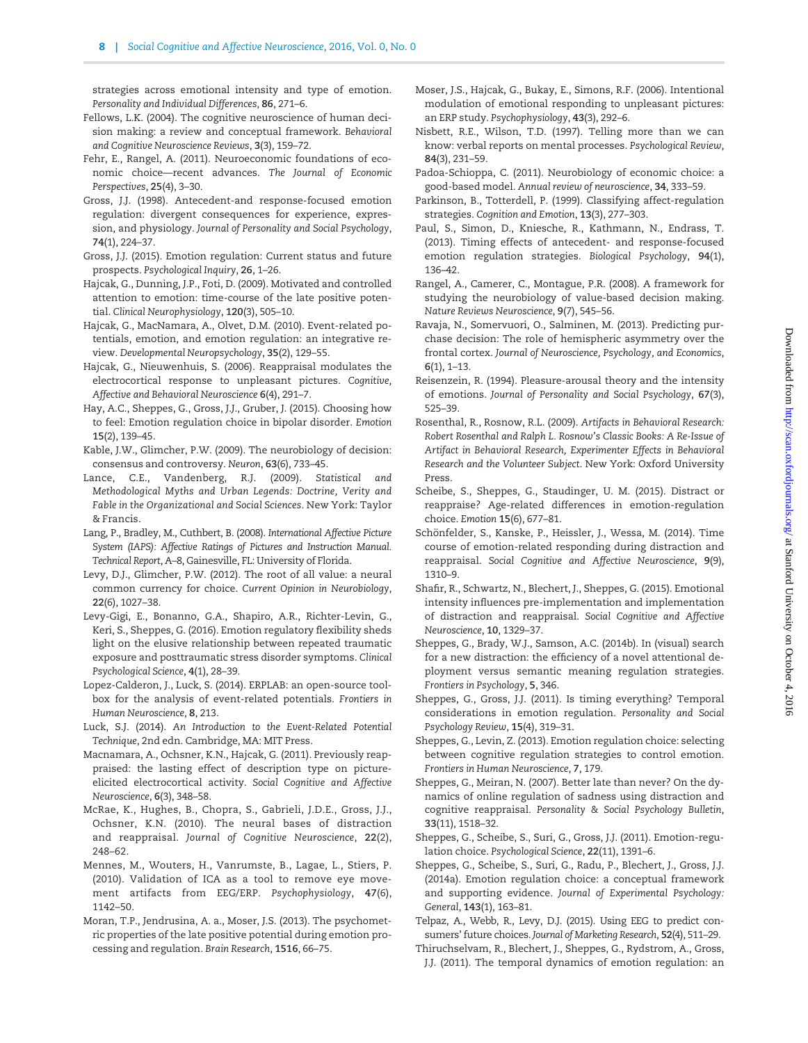<span id="page-7-0"></span>strategies across emotional intensity and type of emotion. Personality and Individual Differences, 86, 271–6.

- Fellows, L.K. (2004). The cognitive neuroscience of human decision making: a review and conceptual framework. Behavioral and Cognitive Neuroscience Reviews, 3(3), 159–72.
- Fehr, E., Rangel, A. (2011). Neuroeconomic foundations of economic choice—recent advances. The Journal of Economic Perspectives, 25(4), 3–30.
- Gross, J.J. (1998). Antecedent-and response-focused emotion regulation: divergent consequences for experience, expression, and physiology. Journal of Personality and Social Psychology, 74(1), 224–37.
- Gross, J.J. (2015). Emotion regulation: Current status and future prospects. Psychological Inquiry, 26, 1–26.
- Hajcak, G., Dunning, J.P., Foti, D. (2009). Motivated and controlled attention to emotion: time-course of the late positive potential. Clinical Neurophysiology, 120(3), 505–10.
- Hajcak, G., MacNamara, A., Olvet, D.M. (2010). Event-related potentials, emotion, and emotion regulation: an integrative review. Developmental Neuropsychology, 35(2), 129–55.
- Hajcak, G., Nieuwenhuis, S. (2006). Reappraisal modulates the electrocortical response to unpleasant pictures. Cognitive, Affective and Behavioral Neuroscience 6(4), 291–7.
- Hay, A.C., Sheppes, G., Gross, J.J., Gruber, J. (2015). Choosing how to feel: Emotion regulation choice in bipolar disorder. Emotion 15(2), 139–45.
- Kable, J.W., Glimcher, P.W. (2009). The neurobiology of decision: consensus and controversy. Neuron, 63(6), 733–45.
- Lance, C.E., Vandenberg, R.J. (2009). Statistical and Methodological Myths and Urban Legends: Doctrine, Verity and Fable in the Organizational and Social Sciences. New York: Taylor & Francis.
- Lang, P., Bradley, M., Cuthbert, B. (2008). International Affective Picture System (IAPS): Affective Ratings of Pictures and Instruction Manual. Technical Report, A–8, Gainesville, FL: University of Florida.
- Levy, D.J., Glimcher, P.W. (2012). The root of all value: a neural common currency for choice. Current Opinion in Neurobiology, 22(6), 1027–38.
- Levy-Gigi, E., Bonanno, G.A., Shapiro, A.R., Richter-Levin, G., Keri, S., Sheppes, G. (2016). Emotion regulatory flexibility sheds light on the elusive relationship between repeated traumatic exposure and posttraumatic stress disorder symptoms. Clinical Psychological Science, 4(1), 28–39.
- Lopez-Calderon, J., Luck, S. (2014). ERPLAB: an open-source toolbox for the analysis of event-related potentials. Frontiers in Human Neuroscience, 8, 213.
- Luck, S.J. (2014). An Introduction to the Event-Related Potential Technique, 2nd edn. Cambridge, MA: MIT Press.
- Macnamara, A., Ochsner, K.N., Hajcak, G. (2011). Previously reappraised: the lasting effect of description type on pictureelicited electrocortical activity. Social Cognitive and Affective Neuroscience, 6(3), 348–58.
- McRae, K., Hughes, B., Chopra, S., Gabrieli, J.D.E., Gross, J.J., Ochsner, K.N. (2010). The neural bases of distraction and reappraisal. Journal of Cognitive Neuroscience, 22(2), 248–62.
- Mennes, M., Wouters, H., Vanrumste, B., Lagae, L., Stiers, P. (2010). Validation of ICA as a tool to remove eye movement artifacts from EEG/ERP. Psychophysiology, 47(6), 1142–50.
- Moran, T.P., Jendrusina, A. a., Moser, J.S. (2013). The psychometric properties of the late positive potential during emotion processing and regulation. Brain Research, 1516, 66–75.
- Moser, J.S., Hajcak, G., Bukay, E., Simons, R.F. (2006). Intentional modulation of emotional responding to unpleasant pictures: an ERP study. Psychophysiology, 43(3), 292–6.
- Nisbett, R.E., Wilson, T.D. (1997). Telling more than we can know: verbal reports on mental processes. Psychological Review, 84(3), 231–59.
- Padoa-Schioppa, C. (2011). Neurobiology of economic choice: a good-based model. Annual review of neuroscience, 34, 333–59.
- Parkinson, B., Totterdell, P. (1999). Classifying affect-regulation strategies. Cognition and Emotion, 13(3), 277–303.
- Paul, S., Simon, D., Kniesche, R., Kathmann, N., Endrass, T. (2013). Timing effects of antecedent- and response-focused emotion regulation strategies. Biological Psychology, 94(1), 136–42.
- Rangel, A., Camerer, C., Montague, P.R. (2008). A framework for studying the neurobiology of value-based decision making. Nature Reviews Neuroscience, 9(7), 545–56.
- Ravaja, N., Somervuori, O., Salminen, M. (2013). Predicting purchase decision: The role of hemispheric asymmetry over the frontal cortex. Journal of Neuroscience, Psychology, and Economics, 6(1), 1–13.
- Reisenzein, R. (1994). Pleasure-arousal theory and the intensity of emotions. Journal of Personality and Social Psychology, 67(3), 525–39.
- Rosenthal, R., Rosnow, R.L. (2009). Artifacts in Behavioral Research: Robert Rosenthal and Ralph L. Rosnow's Classic Books: A Re-Issue of Artifact in Behavioral Research, Experimenter Effects in Behavioral Research and the Volunteer Subject. New York: Oxford University Press.
- Scheibe, S., Sheppes, G., Staudinger, U. M. (2015). Distract or reappraise? Age-related differences in emotion-regulation choice. Emotion 15(6), 677–81.
- Schönfelder, S., Kanske, P., Heissler, J., Wessa, M. (2014). Time course of emotion-related responding during distraction and reappraisal. Social Cognitive and Affective Neuroscience, 9(9), 1310–9.
- Shafir, R., Schwartz, N., Blechert, J., Sheppes, G. (2015). Emotional intensity influences pre-implementation and implementation of distraction and reappraisal. Social Cognitive and Affective Neuroscience, 10, 1329–37.
- Sheppes, G., Brady, W.J., Samson, A.C. (2014b). In (visual) search for a new distraction: the efficiency of a novel attentional deployment versus semantic meaning regulation strategies. Frontiers in Psychology, 5, 346.
- Sheppes, G., Gross, J.J. (2011). Is timing everything? Temporal considerations in emotion regulation. Personality and Social Psychology Review, 15(4), 319–31.
- Sheppes, G., Levin, Z. (2013). Emotion regulation choice: selecting between cognitive regulation strategies to control emotion. Frontiers in Human Neuroscience, 7, 179.
- Sheppes, G., Meiran, N. (2007). Better late than never? On the dynamics of online regulation of sadness using distraction and cognitive reappraisal. Personality & Social Psychology Bulletin, 33(11), 1518–32.
- Sheppes, G., Scheibe, S., Suri, G., Gross, J.J. (2011). Emotion-regulation choice. Psychological Science, 22(11), 1391–6.
- Sheppes, G., Scheibe, S., Suri, G., Radu, P., Blechert, J., Gross, J.J. (2014a). Emotion regulation choice: a conceptual framework and supporting evidence. Journal of Experimental Psychology: General, 143(1), 163–81.
- Telpaz, A., Webb, R., Levy, D.J. (2015). Using EEG to predict consumers' future choices. Journal of Marketing Research, 52(4), 511–29.
- Thiruchselvam, R., Blechert, J., Sheppes, G., Rydstrom, A., Gross, J.J. (2011). The temporal dynamics of emotion regulation: an